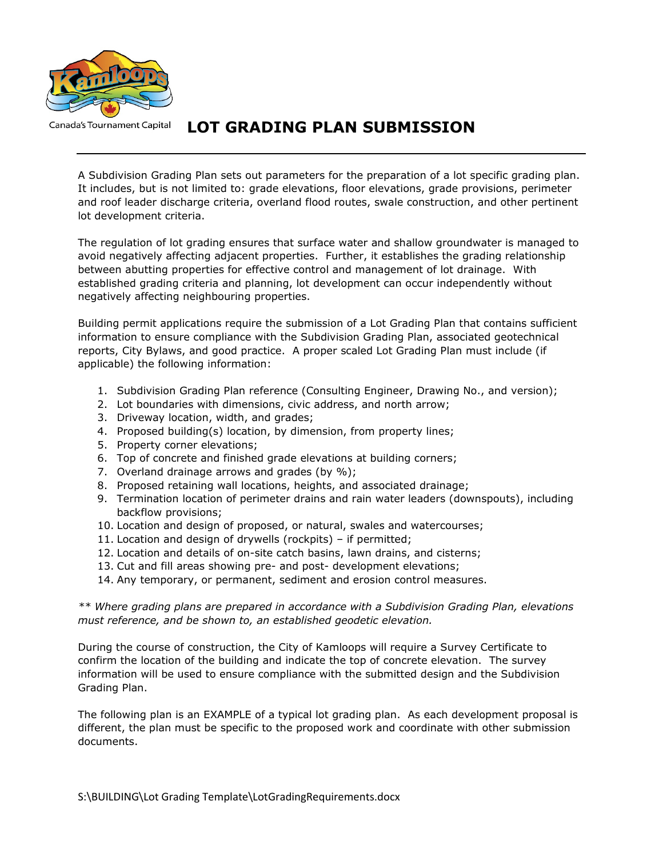

**LOT GRADING PLAN SUBMISSION** 

A Subdivision Grading Plan sets out parameters for the preparation of a lot specific grading plan. It includes, but is not limited to: grade elevations, floor elevations, grade provisions, perimeter and roof leader discharge criteria, overland flood routes, swale construction, and other pertinent lot development criteria.

The regulation of lot grading ensures that surface water and shallow groundwater is managed to avoid negatively affecting adjacent properties. Further, it establishes the grading relationship between abutting properties for effective control and management of lot drainage. With established grading criteria and planning, lot development can occur independently without negatively affecting neighbouring properties.

Building permit applications require the submission of a Lot Grading Plan that contains sufficient information to ensure compliance with the Subdivision Grading Plan, associated geotechnical reports, City Bylaws, and good practice. A proper scaled Lot Grading Plan must include (if applicable) the following information:

- 1. Subdivision Grading Plan reference (Consulting Engineer, Drawing No., and version);
- 2. Lot boundaries with dimensions, civic address, and north arrow;
- 3. Driveway location, width, and grades;
- 4. Proposed building(s) location, by dimension, from property lines;
- 5. Property corner elevations;
- 6. Top of concrete and finished grade elevations at building corners;
- 7. Overland drainage arrows and grades (by %);
- 8. Proposed retaining wall locations, heights, and associated drainage;
- 9. Termination location of perimeter drains and rain water leaders (downspouts), including backflow provisions;
- 10. Location and design of proposed, or natural, swales and watercourses;
- 11. Location and design of drywells (rockpits) if permitted;
- 12. Location and details of on-site catch basins, lawn drains, and cisterns;
- 13. Cut and fill areas showing pre- and post- development elevations;
- 14. Any temporary, or permanent, sediment and erosion control measures.

*\*\* Where grading plans are prepared in accordance with a Subdivision Grading Plan, elevations must reference, and be shown to, an established geodetic elevation.* 

During the course of construction, the City of Kamloops will require a Survey Certificate to confirm the location of the building and indicate the top of concrete elevation. The survey information will be used to ensure compliance with the submitted design and the Subdivision Grading Plan.

The following plan is an EXAMPLE of a typical lot grading plan. As each development proposal is different, the plan must be specific to the proposed work and coordinate with other submission documents.